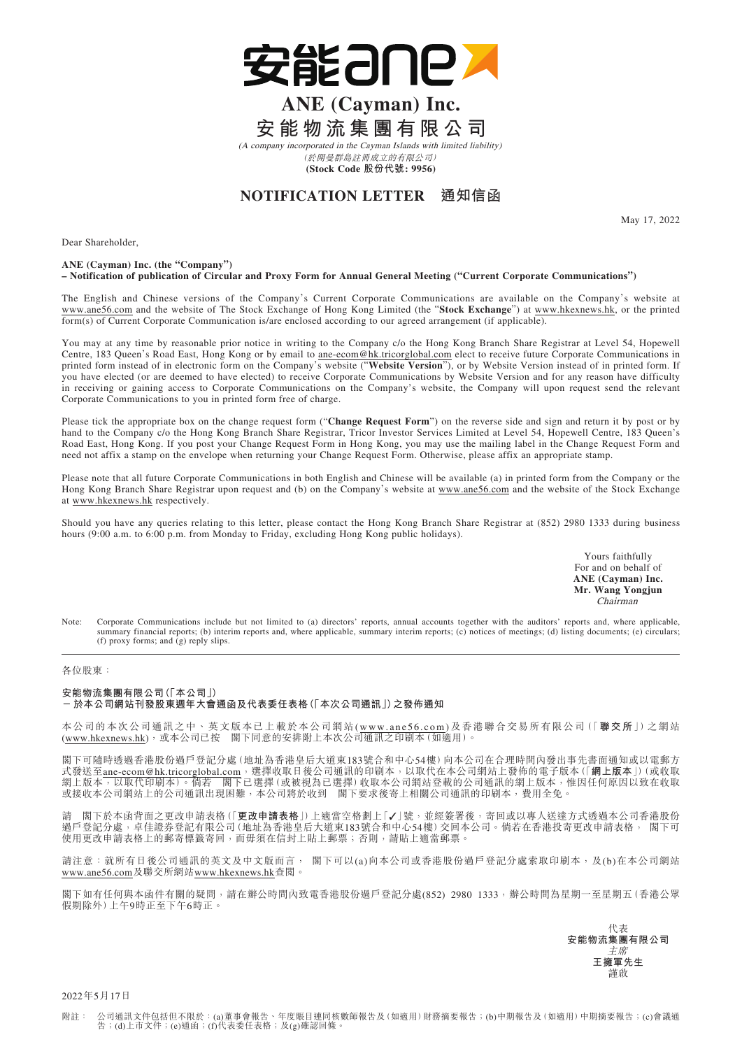

# **ANE (Cayman) Inc. 安能物流集團有限公司**

(A company incorporated in the Cayman Islands with limited liability) (於開曼群島註冊成立的有限公司)

**(Stock Code 股份代號: 9956)**

# **NOTIFICATION LETTER 通知信函**

May 17, 2022

Dear Shareholder,

#### **ANE (Cayman) Inc. (the "Company") – Notification of publication of Circular and Proxy Form for Annual General Meeting ("Current Corporate Communications")**

The English and Chinese versions of the Company's Current Corporate Communications are available on the Company's website at www.ane56.com and the website of The Stock Exchange of Hong Kong Limited (the "**Stock Exchange**") at www.hkexnews.hk, or the printed form(s) of Current Corporate Communication is/are enclosed according to our agreed arrangement (if applicable).

You may at any time by reasonable prior notice in writing to the Company c/o the Hong Kong Branch Share Registrar at Level 54, Hopewell Centre, 183 Queen's Road East, Hong Kong or by email to ane-ecom@hk.tricorglobal.com elect to receive future Corporate Communications in printed form instead of in electronic form on the Company's website ("**Website Version**"), or by Website Version instead of in printed form. If you have elected (or are deemed to have elected) to receive Corporate Communications by Website Version and for any reason have difficulty in receiving or gaining access to Corporate Communications on the Company's website, the Company will upon request send the relevant Corporate Communications to you in printed form free of charge.

Please tick the appropriate box on the change request form ("**Change Request Form**") on the reverse side and sign and return it by post or by hand to the Company c/o the Hong Kong Branch Share Registrar, Tricor Investor Services Limited at Level 54, Hopewell Centre, 183 Queen's Road East, Hong Kong. If you post your Change Request Form in Hong Kong, you may use the mailing label in the Change Request Form and need not affix a stamp on the envelope when returning your Change Request Form. Otherwise, please affix an appropriate stamp.

Please note that all future Corporate Communications in both English and Chinese will be available (a) in printed form from the Company or the Hong Kong Branch Share Registrar upon request and (b) on the Company's website at www.ane56.com and the website of the Stock Exchange at www.hkexnews.hk respectively.

Should you have any queries relating to this letter, please contact the Hong Kong Branch Share Registrar at (852) 2980 1333 during business hours (9:00 a.m. to 6:00 p.m. from Monday to Friday, excluding Hong Kong public holidays).

> Yours faithfully For and on behalf of **ANE (Cayman) Inc. Mr. Wang Yongjun** Chairman

Note: Corporate Communications include but not limited to (a) directors' reports, annual accounts together with the auditors' reports and, where applicable, summary financial reports; (b) interim reports and, where applicable, summary interim reports; (c) notices of meetings; (d) listing documents; (e) circulars; (f) proxy forms; and (g) reply slips.

#### 各位股東:

## **安能物流集團有限公司(「本公司」)**

### **-於本公司網站刊發股東週年大會通函及代表委任表格(「本次公司通訊」)之發佈通知**

本公司的本次公司通訊之中、英文版本已上載於本公司網站(www.ane56.com)及香港聯合交易所有限公司(「**聯交所**」)之網站 (www.hkexnews.hk),或本公司已按 閣下同意的安排附上本次公司通訊之印刷本(如適用)。

閣下可隨時透過香港股份過戶登記分處(地址為香港皇后大道東183號合和中心54樓)向本公司在合理時間內發出事先書面通知或以電郵方 式發送至ane-ecom@hk.tricorglobal.com,選擇收取日後公司通訊的印刷本,以取代在本公司網站上發佈的電子版本(「**網上版本**」)(或收取 網上版本,以取代印刷本)。倘若 閣下已選擇(或被視為已選擇)收取本公司網站登載的公司通訊的網上版本,惟因任何原因以致在收取 或接收本公司網站上的公司通訊出現困難,本公司將於收到 閣下要求後寄上相關公司通訊的印刷本,費用全免。

閣下於本函背面之更改申請表格(「更改申請表格」)上適當空格劃上「√」號,並經簽署後,寄回或以專人送達方式透過本公司香港股份 過戶登記分處,卓佳證券登記有限公司(地址為香港皇后大道東183號合和中心54樓)交回本公司。倘若在香港投寄更改申請表格, 閣下可 使用更改申請表格上的郵寄標籤寄回,而毋須在信封上貼上郵票;否則,請貼上適當郵票

請注意: 就所有日後公司通訊的英文及中文版而言, 閣下可以(a)向本公司或香港股份過戶登記分處索取印刷本,及(b)在本公司網站 www.ane56.com及聯交所網站www.hkexnews.hk查閱。

閣下如有任何與本函件有關的疑問,請在辦公時間內致電香港股份過戶登記分處(852) 2980 1333,辦公時間為星期一至星期五(香港公眾 假期除外)上午9時正至下午6時正。

> 代表 **安能物流集團有限公司** 主席 **王擁軍先生** 謹啟

2022年5月17日

附註: 公司通訊文件包括但不限於:(a)董事會報告、年度賬目連同核數師報告及(如適用)財務摘要報告;(b)中期報告及(如適用)中期摘要報告;(c)會議通<br> 告;(d)上市文件;(e)通函;(f)代表委任表格;及(g)確認回條。